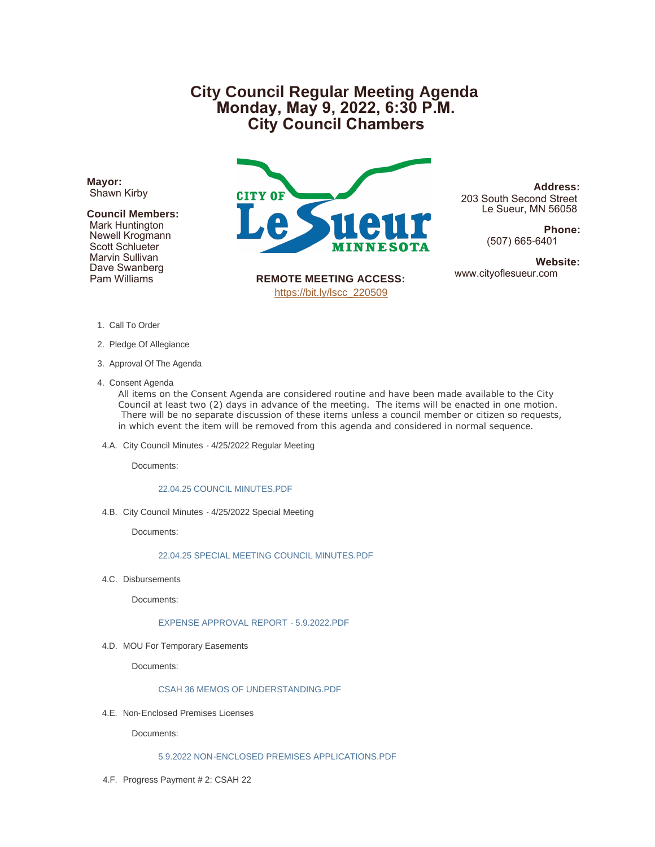# **City Council Regular Meeting Agenda Monday, May 9, 2022, 6:30 P.M. City Council Chambers**

**Mayor:** Shawn Kirby

## **Council Members:**

 Mark Huntington Newell Krogmann Scott Schlueter Marvin Sullivan Dave Swanberg Pam Williams



**Address:** 203 South Second Street Le Sueur, MN 56058

> **Phone:** (507) 665-6401

**Website:**<br>www.cityoflesueur.com

**REMOTE MEETING ACCESS:** [https://bit.ly/lscc\\_220509](https://bit.ly/lscc_220509)

- 1. Call To Order
- 2. Pledge Of Allegiance
- 3. Approval Of The Agenda
- 4. Consent Agenda

All items on the Consent Agenda are considered routine and have been made available to the City Council at least two (2) days in advance of the meeting. The items will be enacted in one motion. There will be no separate discussion of these items unless a council member or citizen so requests, in which event the item will be removed from this agenda and considered in normal sequence.

4.A. City Council Minutes - 4/25/2022 Regular Meeting

Documents:

#### [22.04.25 COUNCIL MINUTES.PDF](http://cityoflesueur.com/AgendaCenter/ViewFile/Item/2621?fileID=3221)

4.B. City Council Minutes - 4/25/2022 Special Meeting

Documents:

## [22.04.25 SPECIAL MEETING COUNCIL MINUTES.PDF](http://cityoflesueur.com/AgendaCenter/ViewFile/Item/2622?fileID=3222)

4.C. Disbursements

Documents:

[EXPENSE APPROVAL REPORT - 5.9.2022.PDF](http://cityoflesueur.com/AgendaCenter/ViewFile/Item/2629?fileID=3231)

4.D. MOU For Temporary Easements

Documents:

#### [CSAH 36 MEMOS OF UNDERSTANDING.PDF](http://cityoflesueur.com/AgendaCenter/ViewFile/Item/2620?fileID=3220)

4.E. Non-Enclosed Premises Licenses

Documents:

#### [5.9.2022 NON-ENCLOSED PREMISES APPLICATIONS.PDF](http://cityoflesueur.com/AgendaCenter/ViewFile/Item/2623?fileID=3223)

4.F. Progress Payment # 2: CSAH 22